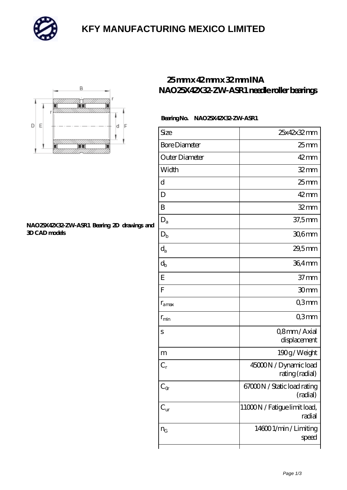

# **[KFY MANUFACTURING MEXICO LIMITED](https://m.mailemotion.tv)**



#### **[NAO25X42X32-ZW-ASR1 Bearing 2D drawings and](https://m.mailemotion.tv/pic-414474.html) [3D CAD models](https://m.mailemotion.tv/pic-414474.html)**

### **[25 mm x 42 mm x 32 mm INA](https://m.mailemotion.tv/bj-414474-ina-nao25x42x32-zw-asr1-needle-roller-bearings.html) [NAO25X42X32-ZW-ASR1 needle roller bearings](https://m.mailemotion.tv/bj-414474-ina-nao25x42x32-zw-asr1-needle-roller-bearings.html)**

#### **Bearing No. NAO25X42X32-ZW-ASR1**

| Size                      | 25x42x32mm                               |
|---------------------------|------------------------------------------|
| <b>Bore Diameter</b>      | $25$ mm                                  |
| Outer Diameter            | $42 \text{mm}$                           |
| Width                     | $32$ mm                                  |
| d                         | $25$ mm                                  |
| D                         | $42 \text{mm}$                           |
| B                         | $32 \text{mm}$                           |
| $D_a$                     | 37,5mm                                   |
| $D_{\rm b}$               | $306$ mm                                 |
| $\mathrm{d}_{\mathrm{a}}$ | 29,5mm                                   |
| $\mathrm{d}_{\mathrm{b}}$ | 36,4mm                                   |
| E                         | 37 <sub>mm</sub>                         |
| ${\bf F}$                 | 30mm                                     |
| $r_{\text{amax}}$         | Q3mm                                     |
| $r_{\rm min}$             | Q3mm                                     |
| S                         | Q8mm/Axial                               |
|                           | displacement                             |
| m                         | 190g/Weight                              |
| $C_r$                     | 45000N / Dynamic load<br>rating (radial) |
| $C_{\Omega}$              | 67000N / Static load rating<br>(radial)  |
| $C_{\rm ur}$              | 11000N / Fatigue limit load,<br>radial   |
| $n_G$                     | 146001/min/Limiting<br>speed             |
|                           |                                          |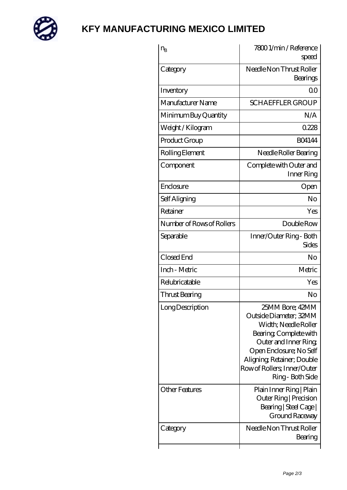

## **[KFY MANUFACTURING MEXICO LIMITED](https://m.mailemotion.tv)**

| $n_{\rm B}$                               | 78001/min/Reference<br>speed                                                                                                                                                                                                                                                           |
|-------------------------------------------|----------------------------------------------------------------------------------------------------------------------------------------------------------------------------------------------------------------------------------------------------------------------------------------|
| Category                                  | Needle Non Thrust Roller<br>Bearings                                                                                                                                                                                                                                                   |
| Inventory                                 | Q0                                                                                                                                                                                                                                                                                     |
| Manufacturer Name                         | <b>SCHAEFFLER GROUP</b>                                                                                                                                                                                                                                                                |
| Minimum Buy Quantity                      | N/A                                                                                                                                                                                                                                                                                    |
| Weight / Kilogram                         | 0228                                                                                                                                                                                                                                                                                   |
| Product Group                             | <b>BO4144</b>                                                                                                                                                                                                                                                                          |
| Rolling Element                           | Needle Roller Bearing                                                                                                                                                                                                                                                                  |
| Component                                 | Complete with Outer and<br>Inner Ring                                                                                                                                                                                                                                                  |
| Enclosure                                 | Open                                                                                                                                                                                                                                                                                   |
| Self Aligning                             | No                                                                                                                                                                                                                                                                                     |
| Retainer                                  | Yes                                                                                                                                                                                                                                                                                    |
| Number of Rows of Rollers                 | Double Row                                                                                                                                                                                                                                                                             |
| Separable                                 | Inner/Outer Ring - Both<br><b>Sides</b>                                                                                                                                                                                                                                                |
| Closed End                                | No                                                                                                                                                                                                                                                                                     |
| Inch - Metric                             | Metric                                                                                                                                                                                                                                                                                 |
| Relubricatable                            | Yes                                                                                                                                                                                                                                                                                    |
| Thrust Bearing                            | No                                                                                                                                                                                                                                                                                     |
| Long Description<br><b>Other Features</b> | 25MM Bore; 42MM<br>Outside Diameter; 32MM<br>Width; Needle Roller<br>Bearing, Complete with<br>Outer and Inner Ring,<br>Open Enclosure; No Self<br>Aligning, Retainer; Double<br>Row of Rollers, Inner/Outer<br>Ring - Both Side<br>Plain Inner Ring   Plain<br>Outer Ring   Precision |
| Category                                  | Bearing   Steel Cage  <br><b>Ground Raceway</b><br>Needle Non Thrust Roller                                                                                                                                                                                                            |
|                                           | Bearing                                                                                                                                                                                                                                                                                |